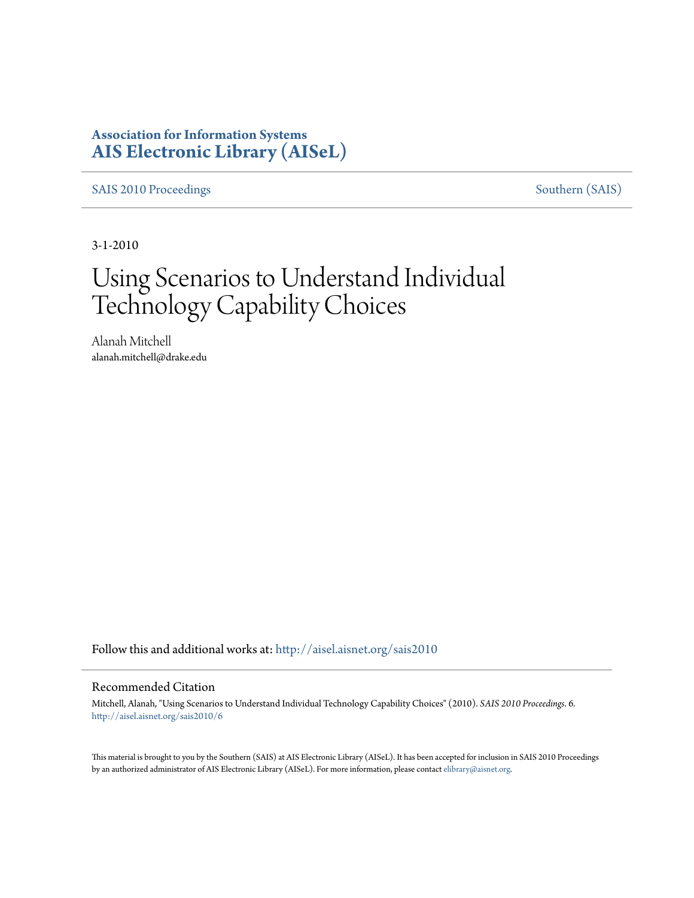### **Association for Information Systems [AIS Electronic Library \(AISeL\)](http://aisel.aisnet.org?utm_source=aisel.aisnet.org%2Fsais2010%2F6&utm_medium=PDF&utm_campaign=PDFCoverPages)**

[SAIS 2010 Proceedings](http://aisel.aisnet.org/sais2010?utm_source=aisel.aisnet.org%2Fsais2010%2F6&utm_medium=PDF&utm_campaign=PDFCoverPages) [Southern \(SAIS\)](http://aisel.aisnet.org/sais?utm_source=aisel.aisnet.org%2Fsais2010%2F6&utm_medium=PDF&utm_campaign=PDFCoverPages)

3-1-2010

# Using Scenarios to Understand Individual Technology Capability Choices

Alanah Mitchell alanah.mitchell@drake.edu

Follow this and additional works at: [http://aisel.aisnet.org/sais2010](http://aisel.aisnet.org/sais2010?utm_source=aisel.aisnet.org%2Fsais2010%2F6&utm_medium=PDF&utm_campaign=PDFCoverPages)

#### Recommended Citation

Mitchell, Alanah, "Using Scenarios to Understand Individual Technology Capability Choices" (2010). *SAIS 2010 Proceedings*. 6. [http://aisel.aisnet.org/sais2010/6](http://aisel.aisnet.org/sais2010/6?utm_source=aisel.aisnet.org%2Fsais2010%2F6&utm_medium=PDF&utm_campaign=PDFCoverPages)

This material is brought to you by the Southern (SAIS) at AIS Electronic Library (AISeL). It has been accepted for inclusion in SAIS 2010 Proceedings by an authorized administrator of AIS Electronic Library (AISeL). For more information, please contact [elibrary@aisnet.org](mailto:elibrary@aisnet.org%3E).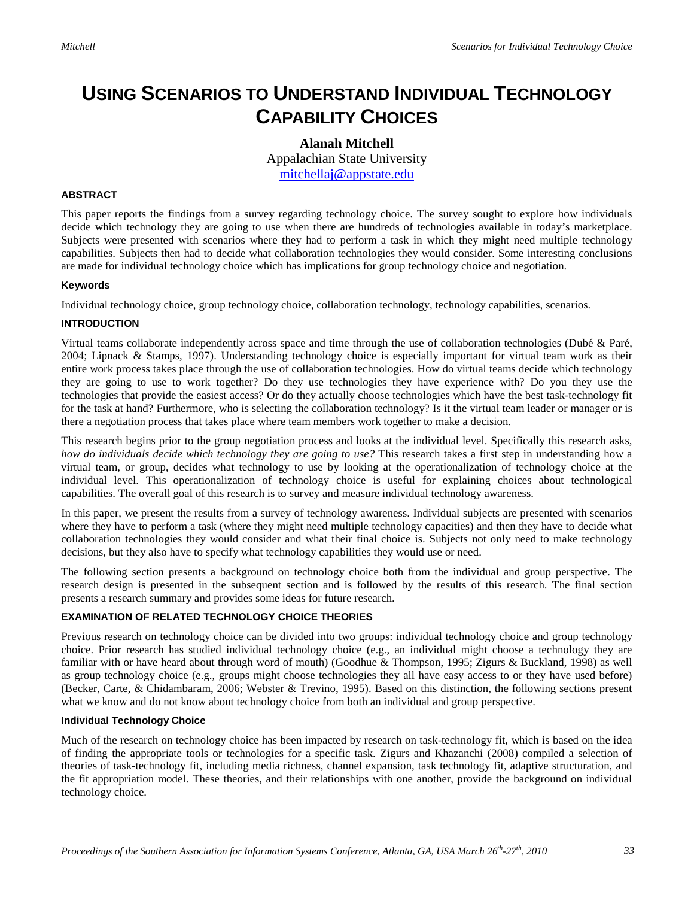## **USING SCENARIOS TO UNDERSTAND INDIVIDUAL TECHNOLOGY CAPABILITY CHOICES**

**Alanah Mitchell** Appalachian State University [mitchellaj@appstate.edu](mailto:mitchellaj@appstate.edu)

#### **ABSTRACT**

This paper reports the findings from a survey regarding technology choice. The survey sought to explore how individuals decide which technology they are going to use when there are hundreds of technologies available in today's marketplace. Subjects were presented with scenarios where they had to perform a task in which they might need multiple technology capabilities. Subjects then had to decide what collaboration technologies they would consider. Some interesting conclusions are made for individual technology choice which has implications for group technology choice and negotiation.

#### **Keywords**

Individual technology choice, group technology choice, collaboration technology, technology capabilities, scenarios.

#### **INTRODUCTION**

Virtual teams collaborate independently across space and time through the use of collaboration technologies (Dubé & Paré, 2004; Lipnack & Stamps, 1997). Understanding technology choice is especially important for virtual team work as their entire work process takes place through the use of collaboration technologies. How do virtual teams decide which technology they are going to use to work together? Do they use technologies they have experience with? Do you they use the technologies that provide the easiest access? Or do they actually choose technologies which have the best task-technology fit for the task at hand? Furthermore, who is selecting the collaboration technology? Is it the virtual team leader or manager or is there a negotiation process that takes place where team members work together to make a decision.

This research begins prior to the group negotiation process and looks at the individual level. Specifically this research asks, *how do individuals decide which technology they are going to use?* This research takes a first step in understanding how a virtual team, or group, decides what technology to use by looking at the operationalization of technology choice at the individual level. This operationalization of technology choice is useful for explaining choices about technological capabilities. The overall goal of this research is to survey and measure individual technology awareness.

In this paper, we present the results from a survey of technology awareness. Individual subjects are presented with scenarios where they have to perform a task (where they might need multiple technology capacities) and then they have to decide what collaboration technologies they would consider and what their final choice is. Subjects not only need to make technology decisions, but they also have to specify what technology capabilities they would use or need.

The following section presents a background on technology choice both from the individual and group perspective. The research design is presented in the subsequent section and is followed by the results of this research. The final section presents a research summary and provides some ideas for future research.

#### **EXAMINATION OF RELATED TECHNOLOGY CHOICE THEORIES**

Previous research on technology choice can be divided into two groups: individual technology choice and group technology choice. Prior research has studied individual technology choice (e.g., an individual might choose a technology they are familiar with or have heard about through word of mouth) (Goodhue & Thompson, 1995; Zigurs & Buckland, 1998) as well as group technology choice (e.g., groups might choose technologies they all have easy access to or they have used before) (Becker, Carte, & Chidambaram, 2006; Webster & Trevino, 1995). Based on this distinction, the following sections present what we know and do not know about technology choice from both an individual and group perspective.

#### **Individual Technology Choice**

Much of the research on technology choice has been impacted by research on task-technology fit, which is based on the idea of finding the appropriate tools or technologies for a specific task. Zigurs and Khazanchi (2008) compiled a selection of theories of task-technology fit, including media richness, channel expansion, task technology fit, adaptive structuration, and the fit appropriation model. These theories, and their relationships with one another, provide the background on individual technology choice.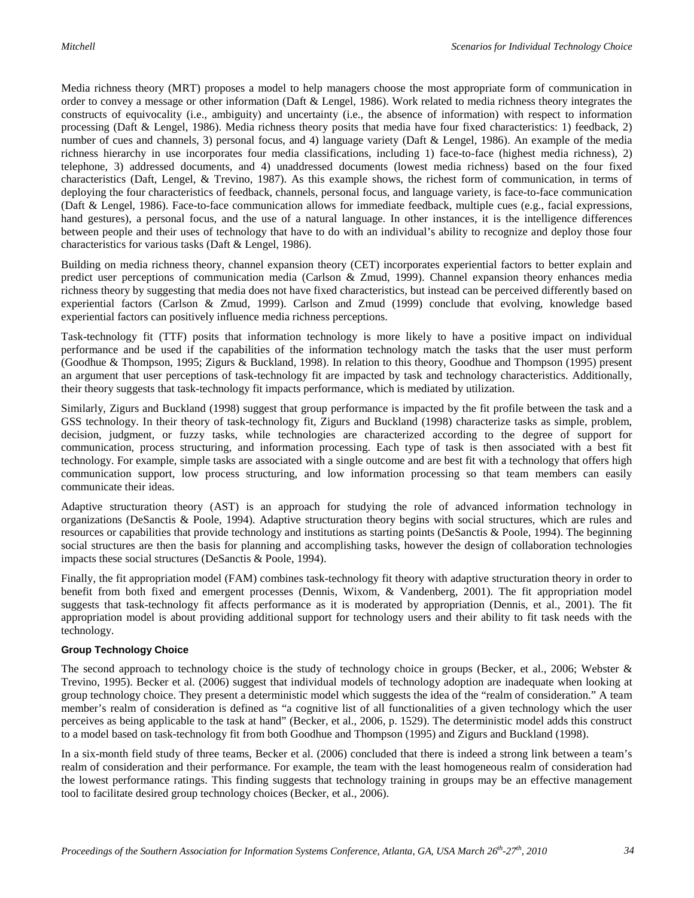Media richness theory (MRT) proposes a model to help managers choose the most appropriate form of communication in order to convey a message or other information (Daft & Lengel, 1986). Work related to media richness theory integrates the constructs of equivocality (i.e., ambiguity) and uncertainty (i.e., the absence of information) with respect to information processing (Daft & Lengel, 1986). Media richness theory posits that media have four fixed characteristics: 1) feedback, 2) number of cues and channels, 3) personal focus, and 4) language variety (Daft & Lengel, 1986). An example of the media richness hierarchy in use incorporates four media classifications, including 1) face-to-face (highest media richness), 2) telephone, 3) addressed documents, and 4) unaddressed documents (lowest media richness) based on the four fixed characteristics (Daft, Lengel, & Trevino, 1987). As this example shows, the richest form of communication, in terms of deploying the four characteristics of feedback, channels, personal focus, and language variety, is face-to-face communication (Daft & Lengel, 1986). Face-to-face communication allows for immediate feedback, multiple cues (e.g., facial expressions, hand gestures), a personal focus, and the use of a natural language. In other instances, it is the intelligence differences between people and their uses of technology that have to do with an individual's ability to recognize and deploy those four characteristics for various tasks (Daft & Lengel, 1986).

Building on media richness theory, channel expansion theory (CET) incorporates experiential factors to better explain and predict user perceptions of communication media (Carlson & Zmud, 1999). Channel expansion theory enhances media richness theory by suggesting that media does not have fixed characteristics, but instead can be perceived differently based on experiential factors (Carlson & Zmud, 1999). Carlson and Zmud (1999) conclude that evolving, knowledge based experiential factors can positively influence media richness perceptions.

Task-technology fit (TTF) posits that information technology is more likely to have a positive impact on individual performance and be used if the capabilities of the information technology match the tasks that the user must perform (Goodhue & Thompson, 1995; Zigurs & Buckland, 1998). In relation to this theory, Goodhue and Thompson (1995) present an argument that user perceptions of task-technology fit are impacted by task and technology characteristics. Additionally, their theory suggests that task-technology fit impacts performance, which is mediated by utilization.

Similarly, Zigurs and Buckland (1998) suggest that group performance is impacted by the fit profile between the task and a GSS technology. In their theory of task-technology fit, Zigurs and Buckland (1998) characterize tasks as simple, problem, decision, judgment, or fuzzy tasks, while technologies are characterized according to the degree of support for communication, process structuring, and information processing. Each type of task is then associated with a best fit technology. For example, simple tasks are associated with a single outcome and are best fit with a technology that offers high communication support, low process structuring, and low information processing so that team members can easily communicate their ideas.

Adaptive structuration theory (AST) is an approach for studying the role of advanced information technology in organizations (DeSanctis & Poole, 1994). Adaptive structuration theory begins with social structures, which are rules and resources or capabilities that provide technology and institutions as starting points (DeSanctis & Poole, 1994). The beginning social structures are then the basis for planning and accomplishing tasks, however the design of collaboration technologies impacts these social structures (DeSanctis & Poole, 1994).

Finally, the fit appropriation model (FAM) combines task-technology fit theory with adaptive structuration theory in order to benefit from both fixed and emergent processes (Dennis, Wixom, & Vandenberg, 2001). The fit appropriation model suggests that task-technology fit affects performance as it is moderated by appropriation (Dennis, et al., 2001). The fit appropriation model is about providing additional support for technology users and their ability to fit task needs with the technology.

#### **Group Technology Choice**

The second approach to technology choice is the study of technology choice in groups (Becker, et al., 2006; Webster & Trevino, 1995). Becker et al. (2006) suggest that individual models of technology adoption are inadequate when looking at group technology choice. They present a deterministic model which suggests the idea of the "realm of consideration." A team member's realm of consideration is defined as "a cognitive list of all functionalities of a given technology which the user perceives as being applicable to the task at hand" (Becker, et al., 2006, p. 1529). The deterministic model adds this construct to a model based on task-technology fit from both Goodhue and Thompson (1995) and Zigurs and Buckland (1998).

In a six-month field study of three teams, Becker et al. (2006) concluded that there is indeed a strong link between a team's realm of consideration and their performance. For example, the team with the least homogeneous realm of consideration had the lowest performance ratings. This finding suggests that technology training in groups may be an effective management tool to facilitate desired group technology choices (Becker, et al., 2006).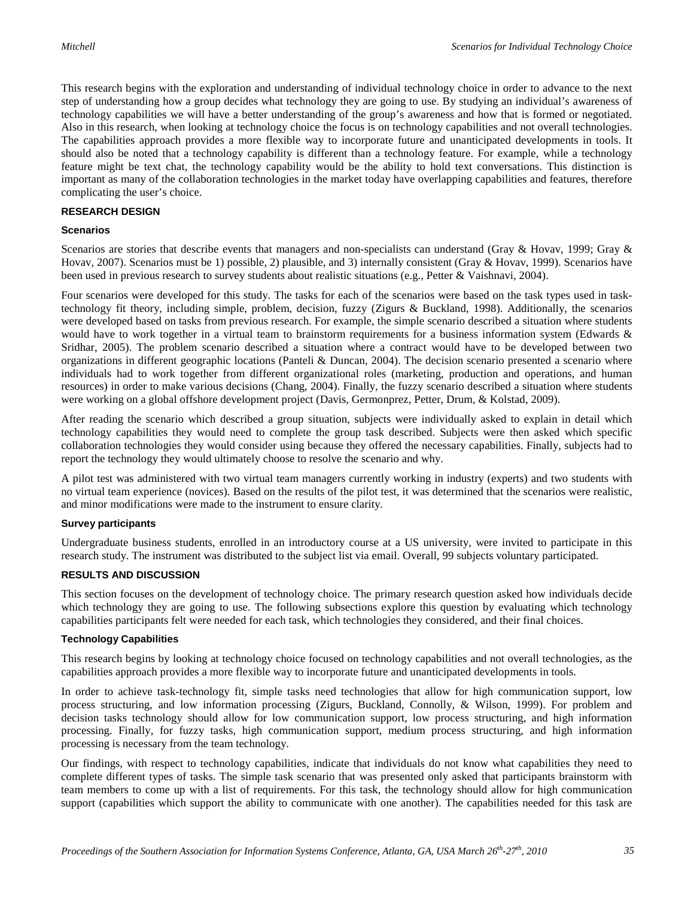This research begins with the exploration and understanding of individual technology choice in order to advance to the next step of understanding how a group decides what technology they are going to use. By studying an individual's awareness of technology capabilities we will have a better understanding of the group's awareness and how that is formed or negotiated. Also in this research, when looking at technology choice the focus is on technology capabilities and not overall technologies. The capabilities approach provides a more flexible way to incorporate future and unanticipated developments in tools. It should also be noted that a technology capability is different than a technology feature. For example, while a technology feature might be text chat, the technology capability would be the ability to hold text conversations. This distinction is important as many of the collaboration technologies in the market today have overlapping capabilities and features, therefore complicating the user's choice.

#### **RESEARCH DESIGN**

#### **Scenarios**

Scenarios are stories that describe events that managers and non-specialists can understand (Gray & Hovav, 1999; Gray & Hovav, 2007). Scenarios must be 1) possible, 2) plausible, and 3) internally consistent (Gray & Hovav, 1999). Scenarios have been used in previous research to survey students about realistic situations (e.g., Petter & Vaishnavi, 2004).

Four scenarios were developed for this study. The tasks for each of the scenarios were based on the task types used in tasktechnology fit theory, including simple, problem, decision, fuzzy (Zigurs & Buckland, 1998). Additionally, the scenarios were developed based on tasks from previous research. For example, the simple scenario described a situation where students would have to work together in a virtual team to brainstorm requirements for a business information system (Edwards & Sridhar, 2005). The problem scenario described a situation where a contract would have to be developed between two organizations in different geographic locations (Panteli & Duncan, 2004). The decision scenario presented a scenario where individuals had to work together from different organizational roles (marketing, production and operations, and human resources) in order to make various decisions (Chang, 2004). Finally, the fuzzy scenario described a situation where students were working on a global offshore development project (Davis, Germonprez, Petter, Drum, & Kolstad, 2009).

After reading the scenario which described a group situation, subjects were individually asked to explain in detail which technology capabilities they would need to complete the group task described. Subjects were then asked which specific collaboration technologies they would consider using because they offered the necessary capabilities. Finally, subjects had to report the technology they would ultimately choose to resolve the scenario and why.

A pilot test was administered with two virtual team managers currently working in industry (experts) and two students with no virtual team experience (novices). Based on the results of the pilot test, it was determined that the scenarios were realistic, and minor modifications were made to the instrument to ensure clarity.

#### **Survey participants**

Undergraduate business students, enrolled in an introductory course at a US university, were invited to participate in this research study. The instrument was distributed to the subject list via email. Overall, 99 subjects voluntary participated.

#### **RESULTS AND DISCUSSION**

This section focuses on the development of technology choice. The primary research question asked how individuals decide which technology they are going to use. The following subsections explore this question by evaluating which technology capabilities participants felt were needed for each task, which technologies they considered, and their final choices.

#### **Technology Capabilities**

This research begins by looking at technology choice focused on technology capabilities and not overall technologies, as the capabilities approach provides a more flexible way to incorporate future and unanticipated developments in tools.

In order to achieve task-technology fit, simple tasks need technologies that allow for high communication support, low process structuring, and low information processing (Zigurs, Buckland, Connolly, & Wilson, 1999). For problem and decision tasks technology should allow for low communication support, low process structuring, and high information processing. Finally, for fuzzy tasks, high communication support, medium process structuring, and high information processing is necessary from the team technology.

Our findings, with respect to technology capabilities, indicate that individuals do not know what capabilities they need to complete different types of tasks. The simple task scenario that was presented only asked that participants brainstorm with team members to come up with a list of requirements. For this task, the technology should allow for high communication support (capabilities which support the ability to communicate with one another). The capabilities needed for this task are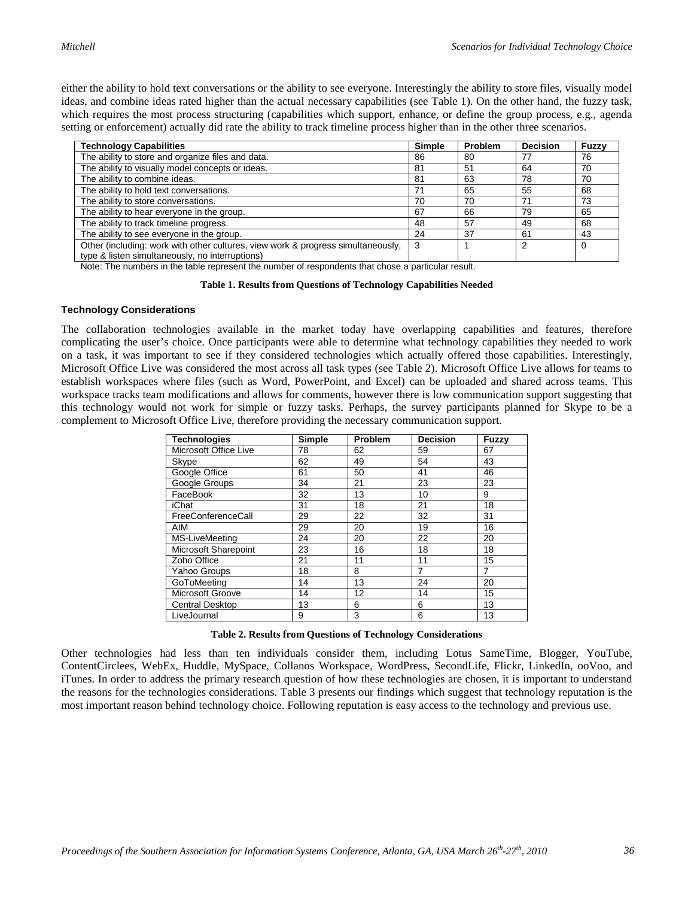either the ability to hold text conversations or the ability to see everyone. Interestingly the ability to store files, visually model ideas, and combine ideas rated higher than the actual necessary capabilities (see Table 1). On the other hand, the fuzzy task, which requires the most process structuring (capabilities which support, enhance, or define the group process, e.g., agenda setting or enforcement) actually did rate the ability to track timeline process higher than in the other three scenarios.

| <b>Technology Capabilities</b>                                                   | <b>Simple</b> | <b>Problem</b> | <b>Decision</b> | Fuzzy    |
|----------------------------------------------------------------------------------|---------------|----------------|-----------------|----------|
| The ability to store and organize files and data.                                | 86            | 80             | 77              | 76       |
| The ability to visually model concepts or ideas.                                 | 81            | 51             | 64              | 70       |
| The ability to combine ideas.                                                    | 81            | 63             | 78              | 70       |
| The ability to hold text conversations.                                          | 71            | 65             | 55              | 68       |
| The ability to store conversations.                                              | 70            | 70             | 71              | 73       |
| The ability to hear everyone in the group.                                       | 67            | 66             | 79              | 65       |
| The ability to track timeline progress.                                          | 48            | 57             | 49              | 68       |
| The ability to see everyone in the group.                                        | 24            | 37             | 61              | 43       |
| Other (including: work with other cultures, view work & progress simultaneously, | 3             |                | 2               | $\Omega$ |
| type & listen simultaneously, no interruptions)                                  |               |                |                 |          |

Note: The numbers in the table represent the number of respondents that chose a particular result.

#### **Table 1. Results from Questions of Technology Capabilities Needed**

#### **Technology Considerations**

The collaboration technologies available in the market today have overlapping capabilities and features, therefore complicating the user's choice. Once participants were able to determine what technology capabilities they needed to work on a task, it was important to see if they considered technologies which actually offered those capabilities. Interestingly, Microsoft Office Live was considered the most across all task types (see Table 2). Microsoft Office Live allows for teams to establish workspaces where files (such as Word, PowerPoint, and Excel) can be uploaded and shared across teams. This workspace tracks team modifications and allows for comments, however there is low communication support suggesting that this technology would not work for simple or fuzzy tasks. Perhaps, the survey participants planned for Skype to be a complement to Microsoft Office Live, therefore providing the necessary communication support.

| <b>Technologies</b>    | Simple | Problem | <b>Decision</b> | Fuzzy |
|------------------------|--------|---------|-----------------|-------|
| Microsoft Office Live  | 78     | 62      | 59              | 67    |
| Skype                  | 62     | 49      | 54              | 43    |
| Google Office          | 61     | 50      | 41              | 46    |
| Google Groups          | 34     | 21      | 23              | 23    |
| FaceBook               | 32     | 13      | 10              | 9     |
| <b>iChat</b>           | 31     | 18      | 21              | 18    |
| FreeConferenceCall     | 29     | 22      | 32              | 31    |
| AIM                    | 29     | 20      | 19              | 16    |
| <b>MS-LiveMeeting</b>  | 24     | 20      | 22              | 20    |
| Microsoft Sharepoint   | 23     | 16      | 18              | 18    |
| Zoho Office            | 21     | 11      | 11              | 15    |
| Yahoo Groups           | 18     | 8       | 7               | 7     |
| GoToMeeting            | 14     | 13      | 24              | 20    |
| Microsoft Groove       | 14     | 12      | 14              | 15    |
| <b>Central Desktop</b> | 13     | 6       | 6               | 13    |
| LiveJournal            | 9      | 3       | 6               | 13    |

#### **Table 2. Results from Questions of Technology Considerations**

Other technologies had less than ten individuals consider them, including Lotus SameTime, Blogger, YouTube, ContentCirclees, WebEx, Huddle, MySpace, Collanos Workspace, WordPress, SecondLife, Flickr, LinkedIn, ooVoo, and iTunes. In order to address the primary research question of how these technologies are chosen, it is important to understand the reasons for the technologies considerations. Table 3 presents our findings which suggest that technology reputation is the most important reason behind technology choice. Following reputation is easy access to the technology and previous use.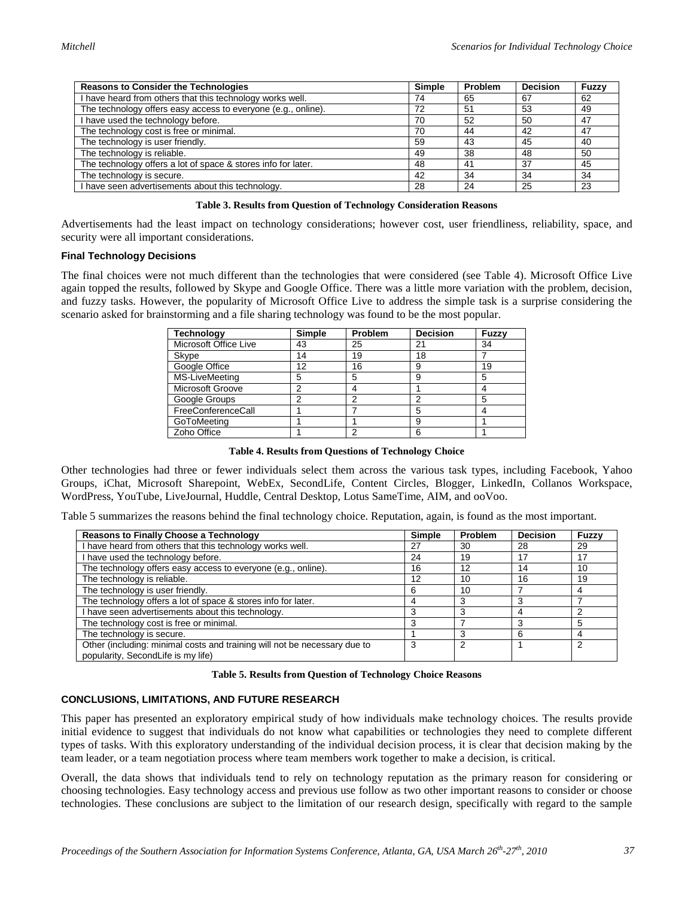| <b>Reasons to Consider the Technologies</b>                   | <b>Simple</b> | <b>Problem</b> | <b>Decision</b> | <b>Fuzzy</b> |
|---------------------------------------------------------------|---------------|----------------|-----------------|--------------|
| I have heard from others that this technology works well.     | 74            | 65             | 67              | 62           |
| The technology offers easy access to everyone (e.g., online). | 72            | 51             | 53              | 49           |
| I have used the technology before.                            | 70            | 52             | 50              | 47           |
| The technology cost is free or minimal.                       | 70            | 44             | 42              | 47           |
| The technology is user friendly.                              | 59            | 43             | 45              | 40           |
| The technology is reliable.                                   | 49            | 38             | 48              | 50           |
| The technology offers a lot of space & stores info for later. | 48            | 41             | 37              | 45           |
| The technology is secure.                                     | 42            | 34             | 34              | -34          |
| I have seen advertisements about this technology.             | 28            | 24             | 25              | 23           |

Advertisements had the least impact on technology considerations; however cost, user friendliness, reliability, space, and security were all important considerations.

#### **Final Technology Decisions**

The final choices were not much different than the technologies that were considered (see Table 4). Microsoft Office Live again topped the results, followed by Skype and Google Office. There was a little more variation with the problem, decision, and fuzzy tasks. However, the popularity of Microsoft Office Live to address the simple task is a surprise considering the scenario asked for brainstorming and a file sharing technology was found to be the most popular.

| Technology            | Simple | Problem | <b>Decision</b> | Fuzzy |
|-----------------------|--------|---------|-----------------|-------|
| Microsoft Office Live | 43     | 25      | $2^{\cdot}$     | 34    |
| Skype                 | 14     | 19      | 18              |       |
| Google Office         | 12     | 16      | 9               | 19    |
| <b>MS-LiveMeeting</b> | 5      | 5       | 9               | 5     |
| Microsoft Groove      | っ      |         |                 |       |
| Google Groups         |        |         | r               | 5     |
| FreeConferenceCall    |        |         | 5               |       |
| GoToMeeting           |        |         | 9               |       |
| Zoho Office           |        |         | 6               |       |

**Table 4. Results from Questions of Technology Choice**

Other technologies had three or fewer individuals select them across the various task types, including Facebook, Yahoo Groups, iChat, Microsoft Sharepoint, WebEx, SecondLife, Content Circles, Blogger, LinkedIn, Collanos Workspace, WordPress, YouTube, LiveJournal, Huddle, Central Desktop, Lotus SameTime, AIM, and ooVoo.

Table 5 summarizes the reasons behind the final technology choice. Reputation, again, is found as the most important.

| <b>Reasons to Finally Choose a Technology</b>                                                                   | Simple | Problem | <b>Decision</b> | Fuzzy |
|-----------------------------------------------------------------------------------------------------------------|--------|---------|-----------------|-------|
| I have heard from others that this technology works well.                                                       | 27     | 30      | 28              | 29    |
| have used the technology before.                                                                                | 24     | 19      | 17              |       |
| The technology offers easy access to everyone (e.g., online).                                                   | 16     | 12      | 14              | 10    |
| The technology is reliable.                                                                                     | 12     | 10      | 16              | 19    |
| The technology is user friendly.                                                                                | 6      | 10      |                 |       |
| The technology offers a lot of space & stores info for later.                                                   | 4      |         |                 |       |
| have seen advertisements about this technology.                                                                 | 3      |         |                 |       |
| The technology cost is free or minimal.                                                                         | 3      |         |                 | 5     |
| The technology is secure.                                                                                       |        |         |                 |       |
| Other (including: minimal costs and training will not be necessary due to<br>popularity, SecondLife is my life) | 3      |         |                 |       |

**Table 5. Results from Question of Technology Choice Reasons**

#### **CONCLUSIONS, LIMITATIONS, AND FUTURE RESEARCH**

This paper has presented an exploratory empirical study of how individuals make technology choices. The results provide initial evidence to suggest that individuals do not know what capabilities or technologies they need to complete different types of tasks. With this exploratory understanding of the individual decision process, it is clear that decision making by the team leader, or a team negotiation process where team members work together to make a decision, is critical.

Overall, the data shows that individuals tend to rely on technology reputation as the primary reason for considering or choosing technologies. Easy technology access and previous use follow as two other important reasons to consider or choose technologies. These conclusions are subject to the limitation of our research design, specifically with regard to the sample